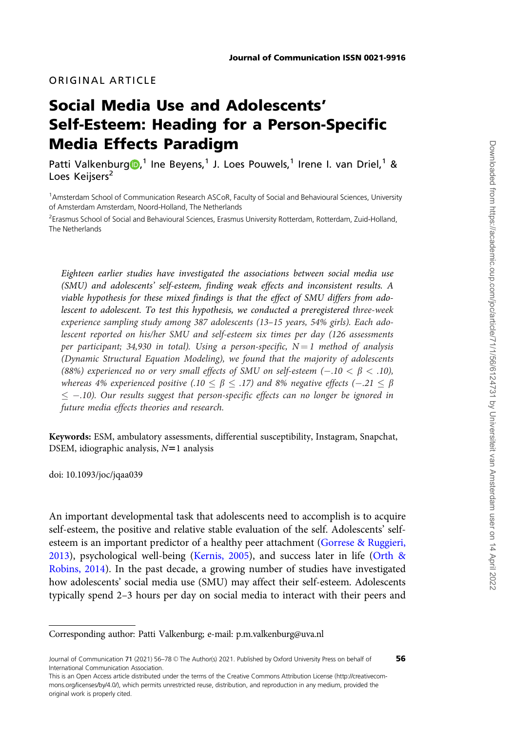# ORIGINAL ARTICLE

# Social Media Use and Adolescents' Self-Esteem: Heading for a Person-Specific Media Effects Paradigm

Patti Valkenburg D[,](http://orcid.org/0000-0003-0477-8429)<sup>1</sup> Ine Beyens,<sup>1</sup> J. Loes Pouwels,<sup>1</sup> Irene I. van Driel,<sup>1</sup> & Loes Keijsers<sup>2</sup>

<sup>1</sup> Amsterdam School of Communication Research ASCoR, Faculty of Social and Behavioural Sciences, University of Amsterdam Amsterdam, Noord-Holland, The Netherlands

2 Erasmus School of Social and Behavioural Sciences, Erasmus University Rotterdam, Rotterdam, Zuid-Holland, The Netherlands

Eighteen earlier studies have investigated the associations between social media use (SMU) and adolescents' self-esteem, finding weak effects and inconsistent results. A viable hypothesis for these mixed findings is that the effect of SMU differs from adolescent to adolescent. To test this hypothesis, we conducted a [preregistered](https://osf.io/peqa4) three-week experience sampling study among 387 adolescents (13–15 years, 54% girls). Each adolescent reported on his/her SMU and self-esteem six times per day (126 assessments per participant; 34,930 in total). Using a person-specific,  $N = 1$  method of analysis (Dynamic Structural Equation Modeling), we found that the majority of adolescents (88%) experienced no or very small effects of SMU on self-esteem (–.10 <  $\beta$  < .10), whereas 4% experienced positive (.10  $\leq$   $\beta$   $\leq$  .17) and 8% negative effects (–.21  $\leq$   $\beta$  $\leq$  –.10). Our results suggest that person-specific effects can no longer be ignored in future media effects theories and research.

Keywords: ESM, ambulatory assessments, differential susceptibility, Instagram, Snapchat, DSEM, idiographic analysis,  $N=1$  analysis

doi: 10.1093/joc/jqaa039

An important developmental task that adolescents need to accomplish is to acquire self-esteem, the positive and relative stable evaluation of the self. Adolescents' selfesteem is an important predictor of a healthy peer attachment ([Gorrese & Ruggieri,](#page-19-0) [2013](#page-19-0)), psychological well-being ([Kernis, 2005](#page-20-0)), and success later in life [\(Orth &](#page-20-0) [Robins, 2014\)](#page-20-0). In the past decade, a growing number of studies have investigated how adolescents' social media use (SMU) may affect their self-esteem. Adolescents typically spend 2–3 hours per day on social media to interact with their peers and

Corresponding author: Patti Valkenburg; e-mail: p.m.valkenburg@uva.nl

Journal of Communication 71 (2021) 56-78 © The Author(s) 2021. Published by Oxford University Press on behalf of International Communication Association.

This is an Open Access article distributed under the terms of the Creative Commons Attribution License (http://creativecommons.org/licenses/by/4.0/), which permits unrestricted reuse, distribution, and reproduction in any medium, provided the original work is properly cited.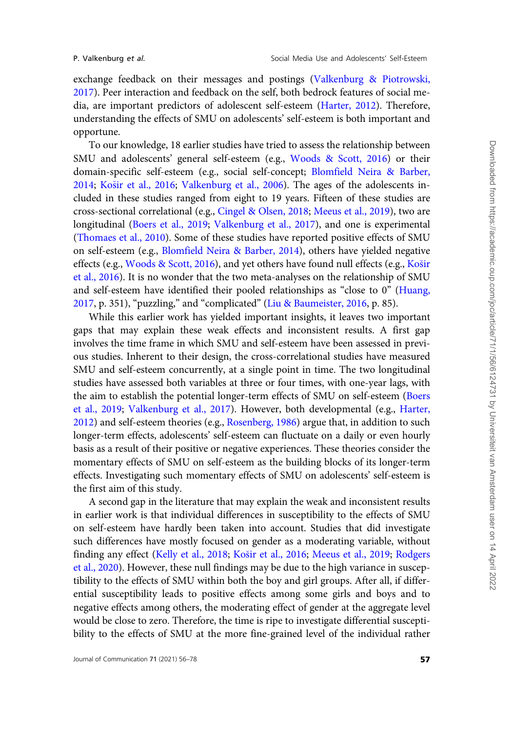exchange feedback on their messages and postings ([Valkenburg](#page-21-0) & [Piotrowski,](#page-21-0) [2017](#page-21-0)). Peer interaction and feedback on the self, both bedrock features of social media, are important predictors of adolescent self-esteem ([Harter, 2012\)](#page-19-0). Therefore, understanding the effects of SMU on adolescents' self-esteem is both important and opportune.

To our knowledge, 18 earlier studies have tried to assess the relationship between SMU and adolescents' general self-esteem (e.g., [Woods](#page-22-0) & [Scott, 2016](#page-22-0)) or their domain-specific self-esteem (e.g., social self-concept; [Blomfield Neira & Barber,](#page-19-0) [2014](#page-19-0); [Ko](#page-20-0)š[ir et al., 2016](#page-20-0); [Valkenburg et al., 2006\)](#page-21-0). The ages of the adolescents included in these studies ranged from eight to 19 years. Fifteen of these studies are cross-sectional correlational (e.g., [Cingel](#page-19-0) & [Olsen, 2018;](#page-19-0) [Meeus et al., 2019\)](#page-20-0), two are longitudinal [\(Boers et al., 2019](#page-19-0); [Valkenburg et al., 2017](#page-21-0)), and one is experimental ([Thomaes et al., 2010\)](#page-21-0). Some of these studies have reported positive effects of SMU on self-esteem (e.g., [Blomfield Neira & Barber, 2014](#page-19-0)), others have yielded negative effects (e.g., [Woods & Scott, 2016](#page-22-0)), and yet others have found null effects (e.g., [Ko](#page-20-0)š[ir](#page-20-0) [et al., 2016](#page-20-0)). It is no wonder that the two meta-analyses on the relationship of SMU and self-esteem have identified their pooled relationships as "close to 0" ([Huang,](#page-20-0) [2017](#page-20-0), p. 351), "puzzling," and "complicated" ([Liu](#page-20-0) & [Baumeister, 2016,](#page-20-0) p. 85).

While this earlier work has yielded important insights, it leaves two important gaps that may explain these weak effects and inconsistent results. A first gap involves the time frame in which SMU and self-esteem have been assessed in previous studies. Inherent to their design, the cross-correlational studies have measured SMU and self-esteem concurrently, at a single point in time. The two longitudinal studies have assessed both variables at three or four times, with one-year lags, with the aim to establish the potential longer-term effects of SMU on self-esteem [\(Boers](#page-19-0) [et al., 2019;](#page-19-0) [Valkenburg et al., 2017\)](#page-21-0). However, both developmental (e.g., [Harter,](#page-19-0) [2012](#page-19-0)) and self-esteem theories (e.g., [Rosenberg, 1986\)](#page-21-0) argue that, in addition to such longer-term effects, adolescents' self-esteem can fluctuate on a daily or even hourly basis as a result of their positive or negative experiences. These theories consider the momentary effects of SMU on self-esteem as the building blocks of its longer-term effects. Investigating such momentary effects of SMU on adolescents' self-esteem is the first aim of this study.

A second gap in the literature that may explain the weak and inconsistent results in earlier work is that individual differences in susceptibility to the effects of SMU on self-esteem have hardly been taken into account. Studies that did investigate such differences have mostly focused on gender as a moderating variable, without finding any effect [\(Kelly et al., 2018](#page-20-0); [Ko](#page-20-0)š[ir et al., 2016;](#page-20-0) [Meeus et al., 2019;](#page-20-0) [Rodgers](#page-21-0) [et al., 2020\)](#page-21-0). However, these null findings may be due to the high variance in susceptibility to the effects of SMU within both the boy and girl groups. After all, if differential susceptibility leads to positive effects among some girls and boys and to negative effects among others, the moderating effect of gender at the aggregate level would be close to zero. Therefore, the time is ripe to investigate differential susceptibility to the effects of SMU at the more fine-grained level of the individual rather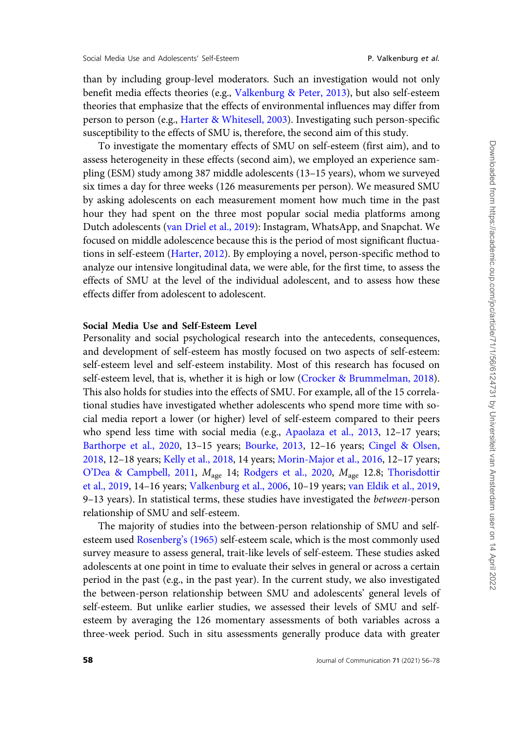than by including group-level moderators. Such an investigation would not only benefit media effects theories (e.g., [Valkenburg](#page-21-0) & [Peter, 2013](#page-21-0)), but also self-esteem theories that emphasize that the effects of environmental influences may differ from person to person (e.g., [Harter](#page-19-0) [& Whitesell, 2003\)](#page-19-0). Investigating such person-specific susceptibility to the effects of SMU is, therefore, the second aim of this study.

To investigate the momentary effects of SMU on self-esteem (first aim), and to assess heterogeneity in these effects (second aim), we employed an experience sampling (ESM) study among 387 middle adolescents (13–15 years), whom we surveyed six times a day for three weeks (126 measurements per person). We measured SMU by asking adolescents on each measurement moment how much time in the past hour they had spent on the three most popular social media platforms among Dutch adolescents [\(van Driel et al., 2019](#page-21-0)): Instagram, WhatsApp, and Snapchat. We focused on middle adolescence because this is the period of most significant fluctuations in self-esteem [\(Harter, 2012\)](#page-19-0). By employing a novel, person-specific method to analyze our intensive longitudinal data, we were able, for the first time, to assess the effects of SMU at the level of the individual adolescent, and to assess how these effects differ from adolescent to adolescent.

# Social Media Use and Self-Esteem Level

Personality and social psychological research into the antecedents, consequences, and development of self-esteem has mostly focused on two aspects of self-esteem: self-esteem level and self-esteem instability. Most of this research has focused on self-esteem level, that is, whether it is high or low ([Crocker](#page-19-0) [& Brummelman, 2018\)](#page-19-0). This also holds for studies into the effects of SMU. For example, all of the 15 correlational studies have investigated whether adolescents who spend more time with social media report a lower (or higher) level of self-esteem compared to their peers who spend less time with social media (e.g., [Apaolaza et al., 2013](#page-19-0), 12-17 years; [Barthorpe et al., 2020,](#page-19-0) 13–15 years; [Bourke, 2013](#page-19-0), 12–16 years; [Cingel](#page-19-0) & [Olsen,](#page-19-0) [2018,](#page-19-0) 12–18 years; [Kelly et al., 2018](#page-20-0), 14 years; [Morin-Major et al., 2016](#page-20-0), 12–17 years; [O'Dea & Campbell, 2011,](#page-20-0) Mage 14; [Rodgers et al., 2020,](#page-21-0) Mage 12.8; [Thorisdottir](#page-21-0) [et al., 2019,](#page-21-0) 14–16 years; [Valkenburg et al., 2006](#page-21-0), 10–19 years; [van Eldik et al., 2019,](#page-22-0) 9–13 years). In statistical terms, these studies have investigated the between-person relationship of SMU and self-esteem.

The majority of studies into the between-person relationship of SMU and selfesteem used [Rosenberg's \(1965\)](#page-21-0) self-esteem scale, which is the most commonly used survey measure to assess general, trait-like levels of self-esteem. These studies asked adolescents at one point in time to evaluate their selves in general or across a certain period in the past (e.g., in the past year). In the current study, we also investigated the between-person relationship between SMU and adolescents' general levels of self-esteem. But unlike earlier studies, we assessed their levels of SMU and selfesteem by averaging the 126 momentary assessments of both variables across a three-week period. Such in situ assessments generally produce data with greater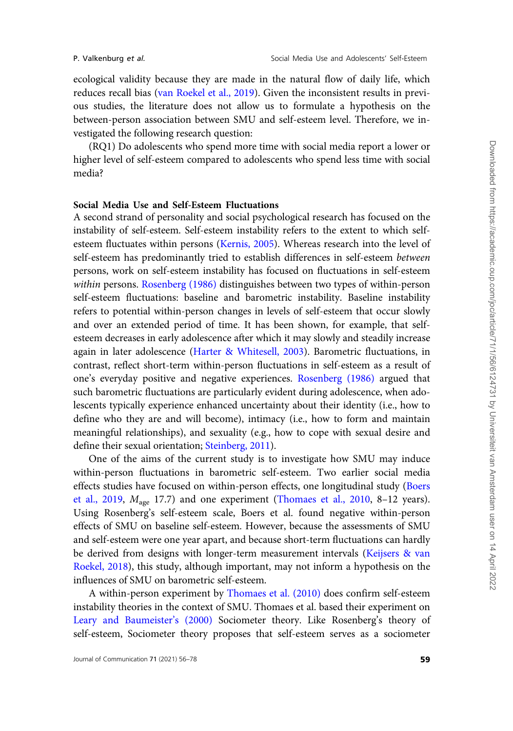ecological validity because they are made in the natural flow of daily life, which reduces recall bias [\(van Roekel et al., 2019](#page-22-0)). Given the inconsistent results in previous studies, the literature does not allow us to formulate a hypothesis on the between-person association between SMU and self-esteem level. Therefore, we investigated the following research question:

(RQ1) Do adolescents who spend more time with social media report a lower or higher level of self-esteem compared to adolescents who spend less time with social media?

# Social Media Use and Self-Esteem Fluctuations

A second strand of personality and social psychological research has focused on the instability of self-esteem. Self-esteem instability refers to the extent to which selfesteem fluctuates within persons ([Kernis, 2005\)](#page-20-0). Whereas research into the level of self-esteem has predominantly tried to establish differences in self-esteem between persons, work on self-esteem instability has focused on fluctuations in self-esteem within persons. [Rosenberg \(1986\)](#page-21-0) distinguishes between two types of within-person self-esteem fluctuations: baseline and barometric instability. Baseline instability refers to potential within-person changes in levels of self-esteem that occur slowly and over an extended period of time. It has been shown, for example, that selfesteem decreases in early adolescence after which it may slowly and steadily increase again in later adolescence [\(Harter & Whitesell, 2003\)](#page-19-0). Barometric fluctuations, in contrast, reflect short-term within-person fluctuations in self-esteem as a result of one's everyday positive and negative experiences. [Rosenberg \(1986\)](#page-21-0) argued that such barometric fluctuations are particularly evident during adolescence, when adolescents typically experience enhanced uncertainty about their identity (i.e., how to define who they are and will become), intimacy (i.e., how to form and maintain meaningful relationships), and sexuality (e.g., how to cope with sexual desire and define their sexual orientation; [Steinberg, 2011](#page-21-0)).

One of the aims of the current study is to investigate how SMU may induce within-person fluctuations in barometric self-esteem. Two earlier social media effects studies have focused on within-person effects, one longitudinal study [\(Boers](#page-19-0) [et al., 2019,](#page-19-0)  $M_{\text{age}}$  17.7) and one experiment ([Thomaes et al., 2010](#page-21-0), 8-12 years). Using Rosenberg's self-esteem scale, Boers et al. found negative within-person effects of SMU on baseline self-esteem. However, because the assessments of SMU and self-esteem were one year apart, and because short-term fluctuations can hardly be derived from designs with longer-term measurement intervals [\(Keijsers & van](#page-20-0) [Roekel, 2018\)](#page-20-0), this study, although important, may not inform a hypothesis on the influences of SMU on barometric self-esteem.

A within-person experiment by [Thomaes et al. \(2010\)](#page-21-0) does confirm self-esteem instability theories in the context of SMU. Thomaes et al. based their experiment on [Leary and Baumeister's \(2000\)](#page-20-0) Sociometer theory. Like Rosenberg's theory of self-esteem, Sociometer theory proposes that self-esteem serves as a sociometer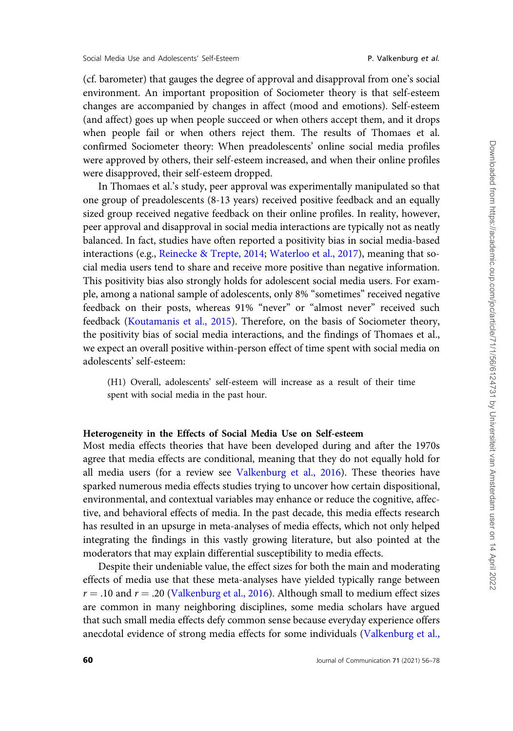(cf. barometer) that gauges the degree of approval and disapproval from one's social environment. An important proposition of Sociometer theory is that self-esteem changes are accompanied by changes in affect (mood and emotions). Self-esteem (and affect) goes up when people succeed or when others accept them, and it drops when people fail or when others reject them. The results of Thomaes et al. confirmed Sociometer theory: When preadolescents' online social media profiles were approved by others, their self-esteem increased, and when their online profiles were disapproved, their self-esteem dropped.

In Thomaes et al.'s study, peer approval was experimentally manipulated so that one group of preadolescents (8-13 years) received positive feedback and an equally sized group received negative feedback on their online profiles. In reality, however, peer approval and disapproval in social media interactions are typically not as neatly balanced. In fact, studies have often reported a positivity bias in social media-based interactions (e.g., [Reinecke & Trepte, 2014](#page-21-0); [Waterloo et al., 2017\)](#page-22-0), meaning that social media users tend to share and receive more positive than negative information. This positivity bias also strongly holds for adolescent social media users. For example, among a national sample of adolescents, only 8% "sometimes" received negative feedback on their posts, whereas 91% "never" or "almost never" received such feedback ([Koutamanis et al., 2015\)](#page-20-0). Therefore, on the basis of Sociometer theory, the positivity bias of social media interactions, and the findings of Thomaes et al., we expect an overall positive within-person effect of time spent with social media on adolescents' self-esteem:

(H1) Overall, adolescents' self-esteem will increase as a result of their time spent with social media in the past hour.

### Heterogeneity in the Effects of Social Media Use on Self-esteem

Most media effects theories that have been developed during and after the 1970s agree that media effects are conditional, meaning that they do not equally hold for all media users (for a review see [Valkenburg et al., 2016](#page-21-0)). These theories have sparked numerous media effects studies trying to uncover how certain dispositional, environmental, and contextual variables may enhance or reduce the cognitive, affective, and behavioral effects of media. In the past decade, this media effects research has resulted in an upsurge in meta-analyses of media effects, which not only helped integrating the findings in this vastly growing literature, but also pointed at the moderators that may explain differential susceptibility to media effects.

Despite their undeniable value, the effect sizes for both the main and moderating effects of media use that these meta-analyses have yielded typically range between  $r = .10$  and  $r = .20$  [\(Valkenburg et al., 2016](#page-21-0)). Although small to medium effect sizes are common in many neighboring disciplines, some media scholars have argued that such small media effects defy common sense because everyday experience offers anecdotal evidence of strong media effects for some individuals ([Valkenburg et al.,](#page-21-0)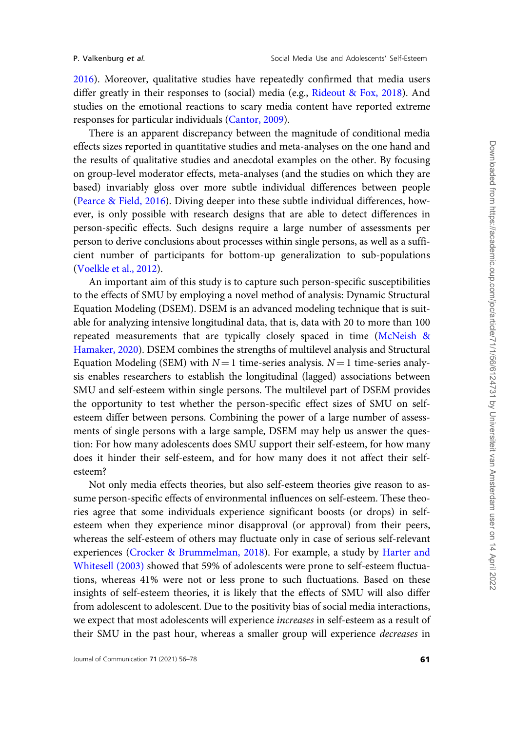[2016](#page-21-0)). Moreover, qualitative studies have repeatedly confirmed that media users differ greatly in their responses to (social) media (e.g., [Rideout](#page-21-0) & [Fox, 2018\)](#page-21-0). And studies on the emotional reactions to scary media content have reported extreme responses for particular individuals [\(Cantor, 2009](#page-19-0)).

There is an apparent discrepancy between the magnitude of conditional media effects sizes reported in quantitative studies and meta-analyses on the one hand and the results of qualitative studies and anecdotal examples on the other. By focusing on group-level moderator effects, meta-analyses (and the studies on which they are based) invariably gloss over more subtle individual differences between people ([Pearce](#page-20-0) & [Field, 2016\)](#page-20-0). Diving deeper into these subtle individual differences, however, is only possible with research designs that are able to detect differences in person-specific effects. Such designs require a large number of assessments per person to derive conclusions about processes within single persons, as well as a sufficient number of participants for bottom-up generalization to sub-populations ([Voelkle et al., 2012](#page-22-0)).

An important aim of this study is to capture such person-specific susceptibilities to the effects of SMU by employing a novel method of analysis: Dynamic Structural Equation Modeling (DSEM). DSEM is an advanced modeling technique that is suitable for analyzing intensive longitudinal data, that is, data with 20 to more than 100 repeated measurements that are typically closely spaced in time [\(McNeish &](#page-20-0) [Hamaker, 2020](#page-20-0)). DSEM combines the strengths of multilevel analysis and Structural Equation Modeling (SEM) with  $N = 1$  time-series analysis.  $N = 1$  time-series analysis enables researchers to establish the longitudinal (lagged) associations between SMU and self-esteem within single persons. The multilevel part of DSEM provides the opportunity to test whether the person-specific effect sizes of SMU on selfesteem differ between persons. Combining the power of a large number of assessments of single persons with a large sample, DSEM may help us answer the question: For how many adolescents does SMU support their self-esteem, for how many does it hinder their self-esteem, and for how many does it not affect their selfesteem?

Not only media effects theories, but also self-esteem theories give reason to assume person-specific effects of environmental influences on self-esteem. These theories agree that some individuals experience significant boosts (or drops) in selfesteem when they experience minor disapproval (or approval) from their peers, whereas the self-esteem of others may fluctuate only in case of serious self-relevant experiences ([Crocker & Brummelman, 2018\)](#page-19-0). For example, a study by [Harter and](#page-19-0) [Whitesell \(2003\)](#page-19-0) showed that 59% of adolescents were prone to self-esteem fluctuations, whereas 41% were not or less prone to such fluctuations. Based on these insights of self-esteem theories, it is likely that the effects of SMU will also differ from adolescent to adolescent. Due to the positivity bias of social media interactions, we expect that most adolescents will experience increases in self-esteem as a result of their SMU in the past hour, whereas a smaller group will experience decreases in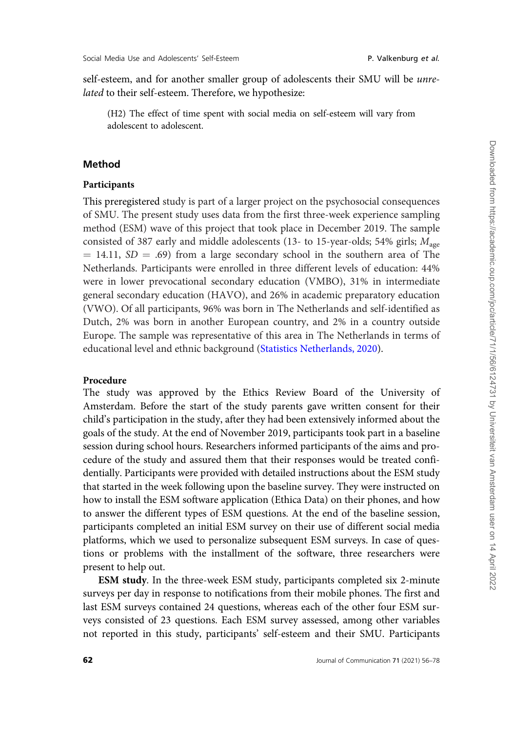self-esteem, and for another smaller group of adolescents their SMU will be unrelated to their self-esteem. Therefore, we hypothesize:

(H2) The effect of time spent with social media on self-esteem will vary from adolescent to adolescent.

# Method

# Participants

This [preregistered](https://osf.io/peqa4) study is part of a larger project on the psychosocial consequences of SMU. The present study uses data from the first three-week experience sampling method (ESM) wave of this project that took place in December 2019. The sample consisted of 387 early and middle adolescents (13- to 15-year-olds; 54% girls;  $M_{\text{age}}$  $= 14.11, SD = .69$ ) from a large secondary school in the southern area of The Netherlands. Participants were enrolled in three different levels of education: 44% were in lower prevocational secondary education (VMBO), 31% in intermediate general secondary education (HAVO), and 26% in academic preparatory education (VWO). Of all participants, 96% was born in The Netherlands and self-identified as Dutch, 2% was born in another European country, and 2% in a country outside Europe. The sample was representative of this area in The Netherlands in terms of educational level and ethnic background [\(Statistics Netherlands, 2020](#page-21-0)).

# Procedure

The study was approved by the Ethics Review Board of the University of Amsterdam. Before the start of the study parents gave written consent for their child's participation in the study, after they had been extensively informed about the goals of the study. At the end of November 2019, participants took part in a baseline session during school hours. Researchers informed participants of the aims and procedure of the study and assured them that their responses would be treated confidentially. Participants were provided with detailed instructions about the ESM study that started in the week following upon the baseline survey. They were instructed on how to install the ESM software application (Ethica Data) on their phones, and how to answer the different types of ESM questions. At the end of the baseline session, participants completed an initial ESM survey on their use of different social media platforms, which we used to personalize subsequent ESM surveys. In case of questions or problems with the installment of the software, three researchers were present to help out.

ESM study. In the three-week ESM study, participants completed six 2-minute surveys per day in response to notifications from their mobile phones. The first and last ESM surveys contained 24 questions, whereas each of the other four ESM surveys consisted of 23 questions. Each ESM survey assessed, among other variables not reported in this study, participants' self-esteem and their SMU. Participants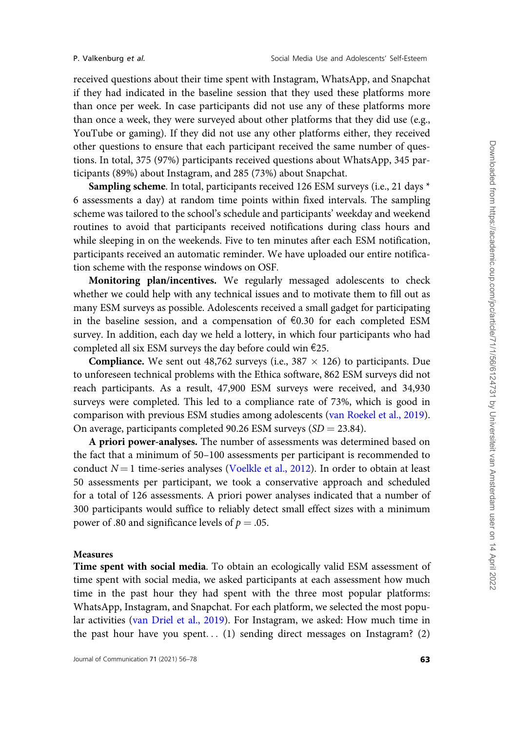received questions about their time spent with Instagram, WhatsApp, and Snapchat if they had indicated in the baseline session that they used these platforms more than once per week. In case participants did not use any of these platforms more than once a week, they were surveyed about other platforms that they did use (e.g., YouTube or gaming). If they did not use any other platforms either, they received other questions to ensure that each participant received the same number of questions. In total, 375 (97%) participants received questions about WhatsApp, 345 participants (89%) about Instagram, and 285 (73%) about Snapchat.

Sampling scheme. In total, participants received 126 ESM surveys (i.e., 21 days  $*$ 6 assessments a day) at random time points within fixed intervals. The sampling scheme was tailored to the school's schedule and participants' weekday and weekend routines to avoid that participants received notifications during class hours and while sleeping in on the weekends. Five to ten minutes after each ESM notification, participants received an automatic reminder. We have uploaded our entire notification scheme with the response windows on [OSF](https://osf.io/tbdjq/).

Monitoring plan/incentives. We regularly messaged adolescents to check whether we could help with any technical issues and to motivate them to fill out as many ESM surveys as possible. Adolescents received a small gadget for participating in the baseline session, and a compensation of  $\epsilon$ 0.30 for each completed ESM survey. In addition, each day we held a lottery, in which four participants who had completed all six ESM surveys the day before could win  $E$ 25.

**Compliance.** We sent out 48,762 surveys (i.e.,  $387 \times 126$ ) to participants. Due to unforeseen technical problems with the Ethica software, 862 ESM surveys did not reach participants. As a result, 47,900 ESM surveys were received, and 34,930 surveys were completed. This led to a compliance rate of 73%, which is good in comparison with previous ESM studies among adolescents ([van Roekel et al., 2019](#page-22-0)). On average, participants completed 90.26 ESM surveys  $(SD = 23.84)$ .

A priori power-analyses. The number of assessments was determined based on the fact that a minimum of 50–100 assessments per participant is recommended to conduct  $N = 1$  time-series analyses [\(Voelkle et al., 2012\)](#page-22-0). In order to obtain at least 50 assessments per participant, we took a conservative approach and scheduled for a total of 126 assessments. A priori power analyses indicated that a number of 300 participants would suffice to reliably detect small effect sizes with a minimum power of .80 and significance levels of  $p = .05$ .

### Measures

Time spent with social media. To obtain an ecologically valid ESM assessment of time spent with social media, we asked participants at each assessment how much time in the past hour they had spent with the three most popular platforms: WhatsApp, Instagram, and Snapchat. For each platform, we selected the most popular activities ([van Driel et al., 2019\)](#page-21-0). For Instagram, we asked: How much time in the past hour have you spent... (1) sending direct messages on Instagram? (2)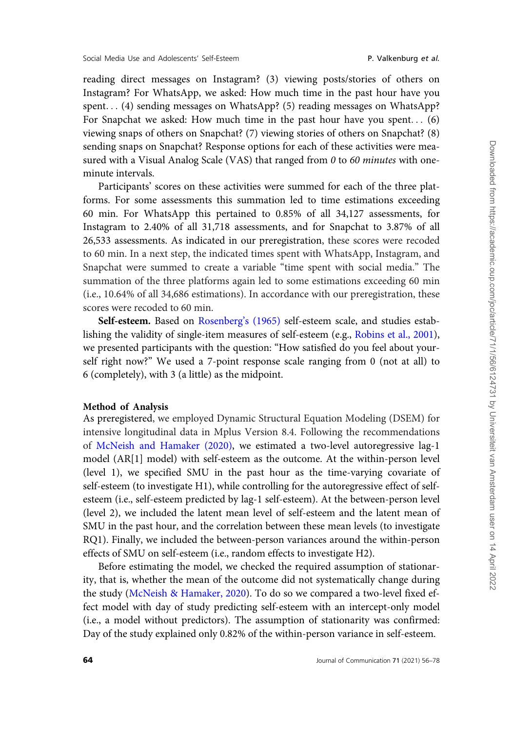reading direct messages on Instagram? (3) viewing posts/stories of others on Instagram? For WhatsApp, we asked: How much time in the past hour have you spent... (4) sending messages on WhatsApp? (5) reading messages on WhatsApp? For Snapchat we asked: How much time in the past hour have you spent... (6) viewing snaps of others on Snapchat? (7) viewing stories of others on Snapchat? (8) sending snaps on Snapchat? Response options for each of these activities were measured with a Visual Analog Scale (VAS) that ranged from 0 to 60 minutes with oneminute intervals.

Participants' scores on these activities were summed for each of the three platforms. For some assessments this summation led to time estimations exceeding 60 min. For WhatsApp this pertained to 0.85% of all 34,127 assessments, for Instagram to 2.40% of all 31,718 assessments, and for Snapchat to 3.87% of all 26,533 assessments. As indicated in our [preregistration,](https://osf.io/peqa4) these scores were recoded to 60 min. In a next step, the indicated times spent with WhatsApp, Instagram, and Snapchat were summed to create a variable "time spent with social media." The summation of the three platforms again led to some estimations exceeding 60 min (i.e., 10.64% of all 34,686 estimations). In accordance with our preregistration, these scores were recoded to 60 min.

Self-esteem. Based on [Rosenberg's \(1965\)](#page-21-0) self-esteem scale, and studies establishing the validity of single-item measures of self-esteem (e.g., [Robins et al., 2001\)](#page-21-0), we presented participants with the question: "How satisfied do you feel about yourself right now?" We used a 7-point response scale ranging from 0 (not at all) to 6 (completely), with 3 (a little) as the midpoint.

#### Method of Analysis

As [preregistered](https://osf.io/peqa4), we employed Dynamic Structural Equation Modeling (DSEM) for intensive longitudinal data in Mplus Version 8.4. Following the recommendations of [McNeish and Hamaker \(2020\)](#page-20-0), we estimated a two-level autoregressive lag-1 model (AR[1] model) with self-esteem as the outcome. At the within-person level (level 1), we specified SMU in the past hour as the time-varying covariate of self-esteem (to investigate H1), while controlling for the autoregressive effect of selfesteem (i.e., self-esteem predicted by lag-1 self-esteem). At the between-person level (level 2), we included the latent mean level of self-esteem and the latent mean of SMU in the past hour, and the correlation between these mean levels (to investigate RQ1). Finally, we included the between-person variances around the within-person effects of SMU on self-esteem (i.e., random effects to investigate H2).

Before estimating the model, we checked the required assumption of stationarity, that is, whether the mean of the outcome did not systematically change during the study ([McNeish & Hamaker, 2020](#page-20-0)). To do so we compared a two-level fixed effect model with day of study predicting self-esteem with an intercept-only model (i.e., a model without predictors). The assumption of stationarity was confirmed: Day of the study explained only 0.82% of the within-person variance in self-esteem.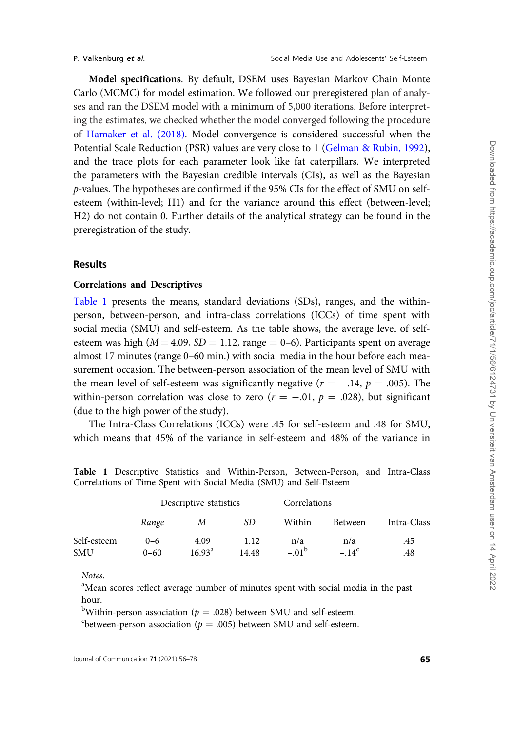<span id="page-9-0"></span>Model specifications. By default, DSEM uses Bayesian Markov Chain Monte Carlo (MCMC) for model estimation. We followed our [preregistered](https://osf.io/peqa4) plan of analyses and ran the DSEM model with a minimum of 5,000 iterations. Before interpreting the estimates, we checked whether the model converged following the procedure of [Hamaker et al. \(2018\).](#page-19-0) Model convergence is considered successful when the Potential Scale Reduction (PSR) values are very close to 1 [\(Gelman](#page-19-0) & [Rubin, 1992](#page-19-0)), and the trace plots for each parameter look like fat caterpillars. We interpreted the parameters with the Bayesian credible intervals (CIs), as well as the Bayesian p-values. The hypotheses are confirmed if the 95% CIs for the effect of SMU on selfesteem (within-level; H1) and for the variance around this effect (between-level; H2) do not contain 0. Further details of the analytical strategy can be found in the preregistration of the study.

# Results

# Correlations and Descriptives

Table 1 presents the means, standard deviations (SDs), ranges, and the withinperson, between-person, and intra-class correlations (ICCs) of time spent with social media (SMU) and self-esteem. As the table shows, the average level of selfesteem was high ( $M = 4.09$ ,  $SD = 1.12$ , range = 0–6). Participants spent on average almost 17 minutes (range 0–60 min.) with social media in the hour before each measurement occasion. The between-person association of the mean level of SMU with the mean level of self-esteem was significantly negative ( $r = -.14$ ,  $p = .005$ ). The within-person correlation was close to zero ( $r = -.01$ ,  $p = .028$ ), but significant (due to the high power of the study).

The Intra-Class Correlations (ICCs) were .45 for self-esteem and .48 for SMU, which means that 45% of the variance in self-esteem and 48% of the variance in

|                           | Descriptive statistics |                         |               | Correlations   |                |             |
|---------------------------|------------------------|-------------------------|---------------|----------------|----------------|-------------|
|                           | Range                  | М                       | <i>SD</i>     | Within         | <b>Between</b> | Intra-Class |
| Self-esteem<br><b>SMU</b> | $0 - 6$<br>$0 - 60$    | 4.09<br>$16.93^{\rm a}$ | 1.12<br>14.48 | n/a<br>$-.01b$ | n/a<br>$-.14c$ | .45<br>.48  |

Table 1 Descriptive Statistics and Within-Person, Between-Person, and Intra-Class Correlations of Time Spent with Social Media (SMU) and Self-Esteem

Notes.

<sup>a</sup>Mean scores reflect average number of minutes spent with social media in the past hour.

 $^{\rm b}$ Within-person association ( $p = .028$ ) between SMU and self-esteem.

<sup>c</sup>between-person association ( $p = .005$ ) between SMU and self-esteem.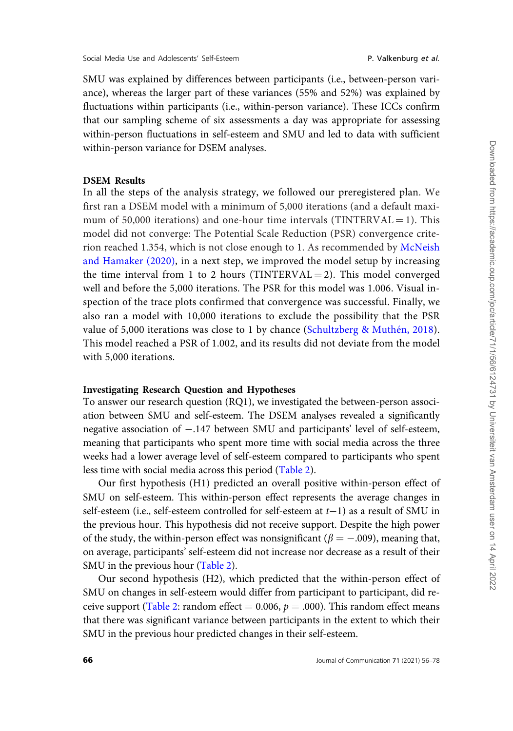SMU was explained by differences between participants (i.e., between-person variance), whereas the larger part of these variances (55% and 52%) was explained by fluctuations within participants (i.e., within-person variance). These ICCs confirm that our sampling scheme of six assessments a day was appropriate for assessing within-person fluctuations in self-esteem and SMU and led to data with sufficient within-person variance for DSEM analyses.

#### DSEM Results

In all the steps of the analysis strategy, we followed our [preregistered plan.](https://osf.io/peqa4) We first ran a DSEM model with a minimum of 5,000 iterations (and a default maximum of 50,000 iterations) and one-hour time intervals (TINTERVAL $=$  1). This model did not converge: The Potential Scale Reduction (PSR) convergence criterion reached 1.354, which is not close enough to 1. As recommended by [McNeish](#page-20-0) [and Hamaker \(2020\)](#page-20-0), in a next step, we improved the model setup by increasing the time interval from 1 to 2 hours (TINTERVAL  $=$  2). This model converged well and before the 5,000 iterations. The PSR for this model was 1.006. Visual inspection of the trace plots confirmed that convergence was successful. Finally, we also ran a model with 10,000 iterations to exclude the possibility that the PSR value of 5,000 iterations was close to 1 by chance (Schultzberg & Muthén, 2018). This model reached a PSR of 1.002, and its results did not deviate from the model with 5,000 iterations.

#### Investigating Research Question and Hypotheses

To answer our research question (RQ1), we investigated the between-person association between SMU and self-esteem. The DSEM analyses revealed a significantly negative association of  $-.147$  between SMU and participants' level of self-esteem, meaning that participants who spent more time with social media across the three weeks had a lower average level of self-esteem compared to participants who spent less time with social media across this period [\(Table 2](#page-11-0)).

Our first hypothesis (H1) predicted an overall positive within-person effect of SMU on self-esteem. This within-person effect represents the average changes in self-esteem (i.e., self-esteem controlled for self-esteem at  $t-1$ ) as a result of SMU in the previous hour. This hypothesis did not receive support. Despite the high power of the study, the within-person effect was nonsignificant ( $\beta = -.009$ ), meaning that, on average, participants' self-esteem did not increase nor decrease as a result of their SMU in the previous hour ([Table 2\)](#page-11-0).

Our second hypothesis (H2), which predicted that the within-person effect of SMU on changes in self-esteem would differ from participant to participant, did re-ceive support ([Table 2:](#page-11-0) random effect = 0.006,  $p = .000$ ). This random effect means that there was significant variance between participants in the extent to which their SMU in the previous hour predicted changes in their self-esteem.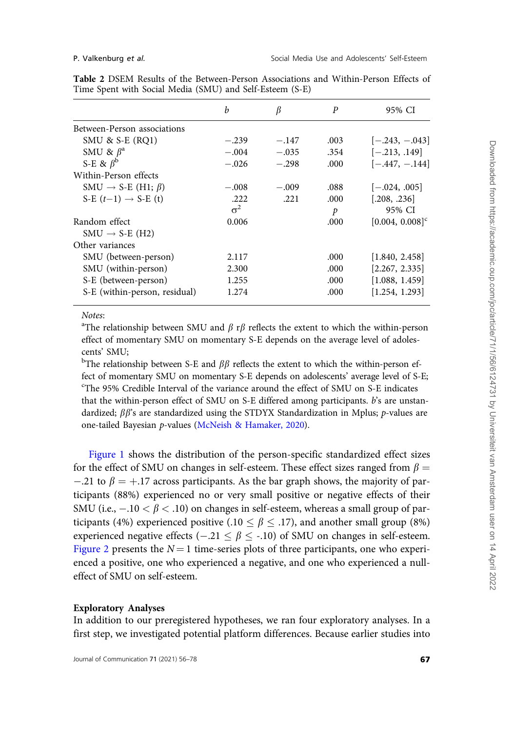|                                      | b          |         | P    | 95% CI                        |
|--------------------------------------|------------|---------|------|-------------------------------|
| Between-Person associations          |            |         |      |                               |
| SMU & $S-E$ (RO1)                    | $-.239$    | $-.147$ | .003 | $[-.243, -.043]$              |
| SMU & $\beta^a$                      | $-.004$    | $-.035$ | .354 | $[-.213, .149]$               |
| S-E & $\beta^{\rm b}$                | $-.026$    | $-.298$ | .000 | $[-.447, -.144]$              |
| Within-Person effects                |            |         |      |                               |
| SMU $\rightarrow$ S-E (H1; $\beta$ ) | $-.008$    | $-.009$ | .088 | $[-.024, .005]$               |
| S-E $(t-1) \rightarrow$ S-E $(t)$    | .222       | .221    | .000 | [.208, .236]                  |
|                                      | $\sigma^2$ |         | p    | 95% CI                        |
| Random effect                        | 0.006      |         | .000 | $[0.004, 0.008]$ <sup>c</sup> |
| $SMU \rightarrow S-E(H2)$            |            |         |      |                               |
| Other variances                      |            |         |      |                               |
| SMU (between-person)                 | 2.117      |         | .000 | [1.840, 2.458]                |
| SMU (within-person)                  | 2.300      |         | .000 | [2.267, 2.335]                |
| S-E (between-person)                 | 1.255      |         | .000 | [1.088, 1.459]                |
| S-E (within-person, residual)        | 1.274      |         | .000 | [1.254, 1.293]                |

<span id="page-11-0"></span>Table 2 DSEM Results of the Between-Person Associations and Within-Person Effects of Time Spent with Social Media (SMU) and Self-Esteem (S-E)

Notes:

<sup>a</sup>The relationship between SMU and  $\beta$  r $\beta$  reflects the extent to which the within-person effect of momentary SMU on momentary S-E depends on the average level of adolescents' SMU;

<sup>b</sup>The relationship between S-E and  $\beta\beta$  reflects the extent to which the within-person effect of momentary SMU on momentary S-E depends on adolescents' average level of S-E; <sup>c</sup>The 95% Credible Interval of the variance around the effect of SMU on S-E indicates that the within-person effect of SMU on S-E differed among participants.  $b$ 's are unstandardized;  $\beta\beta$ 's are standardized using the STDYX Standardization in Mplus; p-values are one-tailed Bayesian p-values [\(McNeish](#page-20-0) [& Hamaker, 2020](#page-20-0)).

[Figure 1](#page-12-0) shows the distribution of the person-specific standardized effect sizes for the effect of SMU on changes in self-esteem. These effect sizes ranged from  $\beta =$  $-.21$  to  $\beta = +.17$  across participants. As the bar graph shows, the majority of participants (88%) experienced no or very small positive or negative effects of their SMU (i.e.,  $-.10 < \beta < .10$ ) on changes in self-esteem, whereas a small group of participants (4%) experienced positive (.10  $\leq \beta \leq$  .17), and another small group (8%) experienced negative effects (–.21  $\leq \beta \leq$  -.10) of SMU on changes in self-esteem. [Figure 2](#page-13-0) presents the  $N = 1$  time-series plots of three participants, one who experienced a positive, one who experienced a negative, and one who experienced a nulleffect of SMU on self-esteem.

#### Exploratory Analyses

In addition to our preregistered hypotheses, we ran four exploratory analyses. In a first step, we investigated potential platform differences. Because earlier studies into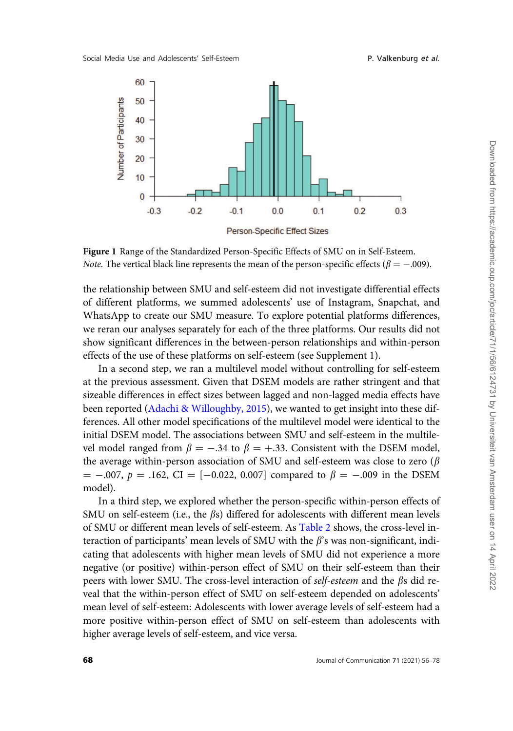<span id="page-12-0"></span>

Figure 1 Range of the Standardized Person-Specific Effects of SMU on in Self-Esteem. *Note*. The vertical black line represents the mean of the person-specific effects ( $\beta = -.009$ ).

the relationship between SMU and self-esteem did not investigate differential effects of different platforms, we summed adolescents' use of Instagram, Snapchat, and WhatsApp to create our SMU measure. To explore potential platforms differences, we reran our analyses separately for each of the three platforms. Our results did not show significant differences in the between-person relationships and within-person effects of the use of these platforms on self-esteem (see Supplement 1).

In a second step, we ran a multilevel model without controlling for self-esteem at the previous assessment. Given that DSEM models are rather stringent and that sizeable differences in effect sizes between lagged and non-lagged media effects have been reported ([Adachi](#page-19-0) & [Willoughby, 2015](#page-19-0)), we wanted to get insight into these differences. All other model specifications of the multilevel model were identical to the initial DSEM model. The associations between SMU and self-esteem in the multilevel model ranged from  $\beta = -.34$  to  $\beta = +.33$ . Consistent with the DSEM model, the average within-person association of SMU and self-esteem was close to zero ( $\beta$ )  $= -0.007, p = 0.162, \text{ CI} = [-0.022, 0.007]$  compared to  $\beta = -0.009$  in the DSEM model).

In a third step, we explored whether the person-specific within-person effects of SMU on self-esteem (i.e., the  $\beta s$ ) differed for adolescents with different mean levels of SMU or different mean levels of self-esteem. As [Table 2](#page-11-0) shows, the cross-level interaction of participants' mean levels of SMU with the  $\beta$ 's was non-significant, indicating that adolescents with higher mean levels of SMU did not experience a more negative (or positive) within-person effect of SMU on their self-esteem than their peers with lower SMU. The cross-level interaction of *self-esteem* and the  $\beta s$  did reveal that the within-person effect of SMU on self-esteem depended on adolescents' mean level of self-esteem: Adolescents with lower average levels of self-esteem had a more positive within-person effect of SMU on self-esteem than adolescents with higher average levels of self-esteem, and vice versa.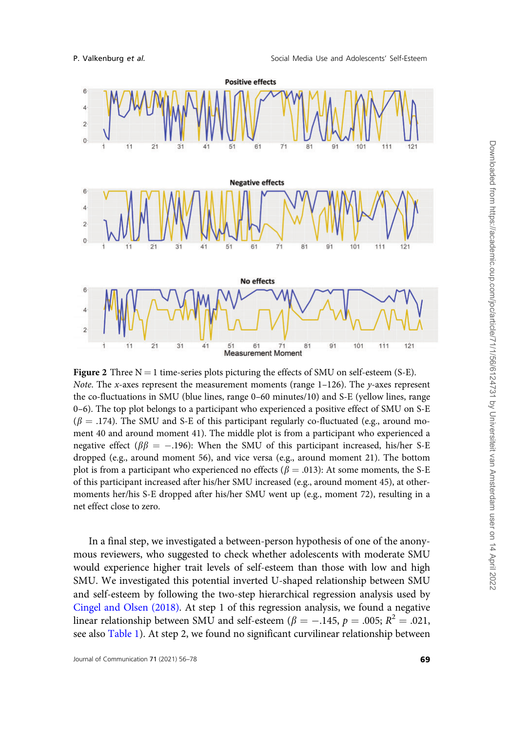<span id="page-13-0"></span>

Figure 2 Three  $N = 1$  time-series plots picturing the effects of SMU on self-esteem (S-E). *Note.* The x-axes represent the measurement moments (range  $1-126$ ). The y-axes represent the co-fluctuations in SMU (blue lines, range 0–60 minutes/10) and S-E (yellow lines, range 0–6). The top plot belongs to a participant who experienced a positive effect of SMU on S-E  $(\beta = .174)$ . The SMU and S-E of this participant regularly co-fluctuated (e.g., around moment 40 and around moment 41). The middle plot is from a participant who experienced a negative effect ( $\beta\beta = -.196$ ): When the SMU of this participant increased, his/her S-E dropped (e.g., around moment 56), and vice versa (e.g., around moment 21). The bottom plot is from a participant who experienced no effects ( $\beta$  = .013): At some moments, the S-E of this participant increased after his/her SMU increased (e.g., around moment 45), at othermoments her/his S-E dropped after his/her SMU went up (e.g., moment 72), resulting in a net effect close to zero.

In a final step, we investigated a between-person hypothesis of one of the anonymous reviewers, who suggested to check whether adolescents with moderate SMU would experience higher trait levels of self-esteem than those with low and high SMU. We investigated this potential inverted U-shaped relationship between SMU and self-esteem by following the two-step hierarchical regression analysis used by [Cingel and Olsen \(2018\)](#page-19-0). At step 1 of this regression analysis, we found a negative linear relationship between SMU and self-esteem ( $\beta = -.145, p = .005; R^2 = .021,$ see also [Table 1](#page-9-0)). At step 2, we found no significant curvilinear relationship between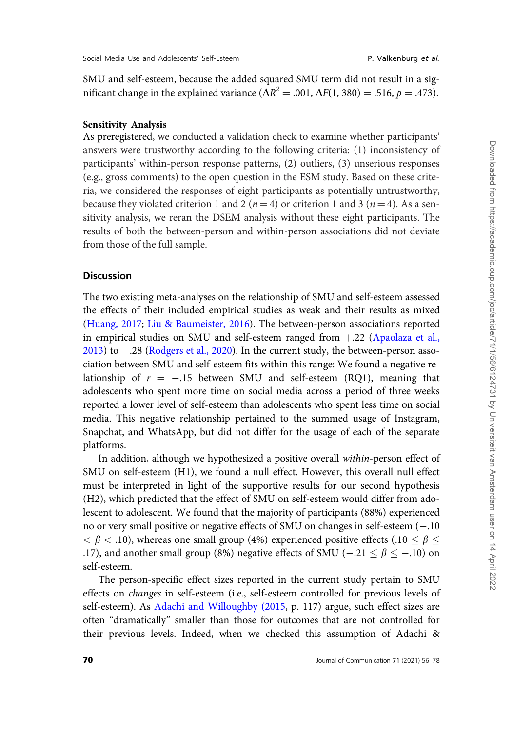SMU and self-esteem, because the added squared SMU term did not result in a significant change in the explained variance ( $\Delta R^2 = .001$ ,  $\Delta F(1, 380) = .516$ ,  $p = .473$ ).

#### Sensitivity Analysis

As [preregistered](https://osf.io/peqa4), we conducted a validation check to examine whether participants' answers were trustworthy according to the following criteria: (1) inconsistency of participants' within-person response patterns, (2) outliers, (3) unserious responses (e.g., gross comments) to the open question in the ESM study. Based on these criteria, we considered the responses of eight participants as potentially untrustworthy, because they violated criterion 1 and 2 ( $n = 4$ ) or criterion 1 and 3 ( $n = 4$ ). As a sensitivity analysis, we reran the DSEM analysis without these eight participants. The results of both the between-person and within-person associations did not deviate from those of the full sample.

# **Discussion**

The two existing meta-analyses on the relationship of SMU and self-esteem assessed the effects of their included empirical studies as weak and their results as mixed [\(Huang, 2017](#page-20-0); [Liu](#page-20-0) & [Baumeister, 2016](#page-20-0)). The between-person associations reported in empirical studies on SMU and self-esteem ranged from  $+0.22$  ([Apaolaza et al.,](#page-19-0)  $2013$ ) to  $-.28$  [\(Rodgers et al., 2020](#page-21-0)). In the current study, the between-person association between SMU and self-esteem fits within this range: We found a negative relationship of  $r = -.15$  between SMU and self-esteem (RQ1), meaning that adolescents who spent more time on social media across a period of three weeks reported a lower level of self-esteem than adolescents who spent less time on social media. This negative relationship pertained to the summed usage of Instagram, Snapchat, and WhatsApp, but did not differ for the usage of each of the separate platforms.

In addition, although we hypothesized a positive overall within-person effect of SMU on self-esteem (H1), we found a null effect. However, this overall null effect must be interpreted in light of the supportive results for our second hypothesis (H2), which predicted that the effect of SMU on self-esteem would differ from adolescent to adolescent. We found that the majority of participants (88%) experienced no or very small positive or negative effects of SMU on changes in self-esteem (-.10  $< \beta < .10$ ), whereas one small group (4%) experienced positive effects (.10  $\leq \beta \leq$ .17), and another small group (8%) negative effects of SMU (–.21  $\leq \beta \leq$  –.10) on self-esteem.

The person-specific effect sizes reported in the current study pertain to SMU effects on changes in self-esteem (i.e., self-esteem controlled for previous levels of self-esteem). As [Adachi and Willoughby \(2015,](#page-19-0) p. 117) argue, such effect sizes are often "dramatically" smaller than those for outcomes that are not controlled for their previous levels. Indeed, when we checked this assumption of Adachi &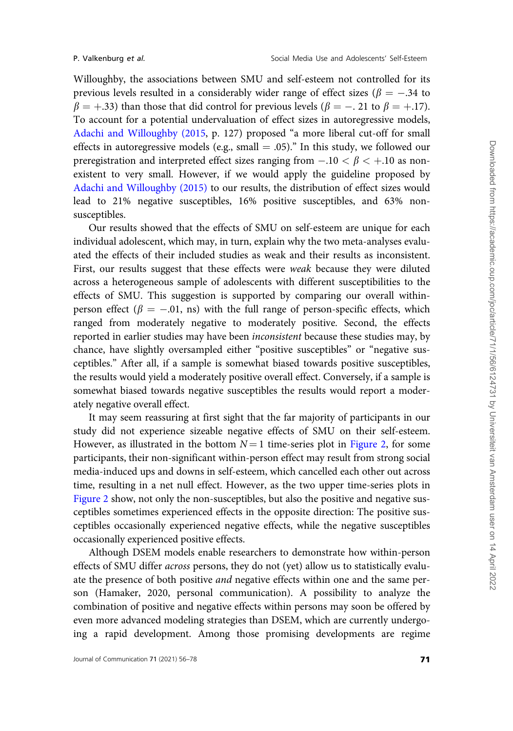Willoughby, the associations between SMU and self-esteem not controlled for its previous levels resulted in a considerably wider range of effect sizes ( $\beta = -.34$  to  $\beta = +0.33$ ) than those that did control for previous levels ( $\beta = -$ . 21 to  $\beta = +0.17$ ). To account for a potential undervaluation of effect sizes in autoregressive models, [Adachi and Willoughby \(2015](#page-19-0), p. 127) proposed "a more liberal cut-off for small effects in autoregressive models (e.g., small  $= .05$ )." In this study, we followed our preregistration and interpreted effect sizes ranging from  $-.10 < \beta < +.10$  as nonexistent to very small. However, if we would apply the guideline proposed by [Adachi and Willoughby \(2015\)](#page-19-0) to our results, the distribution of effect sizes would lead to 21% negative susceptibles, 16% positive susceptibles, and 63% nonsusceptibles.

Our results showed that the effects of SMU on self-esteem are unique for each individual adolescent, which may, in turn, explain why the two meta-analyses evaluated the effects of their included studies as weak and their results as inconsistent. First, our results suggest that these effects were *weak* because they were diluted across a heterogeneous sample of adolescents with different susceptibilities to the effects of SMU. This suggestion is supported by comparing our overall withinperson effect ( $\beta = -.01$ , ns) with the full range of person-specific effects, which ranged from moderately negative to moderately positive. Second, the effects reported in earlier studies may have been inconsistent because these studies may, by chance, have slightly oversampled either "positive susceptibles" or "negative susceptibles." After all, if a sample is somewhat biased towards positive susceptibles, the results would yield a moderately positive overall effect. Conversely, if a sample is somewhat biased towards negative susceptibles the results would report a moderately negative overall effect.

It may seem reassuring at first sight that the far majority of participants in our study did not experience sizeable negative effects of SMU on their self-esteem. However, as illustrated in the bottom  $N = 1$  time-series plot in [Figure 2,](#page-13-0) for some participants, their non-significant within-person effect may result from strong social media-induced ups and downs in self-esteem, which cancelled each other out across time, resulting in a net null effect. However, as the two upper time-series plots in [Figure 2](#page-13-0) show, not only the non-susceptibles, but also the positive and negative susceptibles sometimes experienced effects in the opposite direction: The positive susceptibles occasionally experienced negative effects, while the negative susceptibles occasionally experienced positive effects.

Although DSEM models enable researchers to demonstrate how within-person effects of SMU differ across persons, they do not (yet) allow us to statistically evaluate the presence of both positive and negative effects within one and the same person (Hamaker, 2020, personal communication). A possibility to analyze the combination of positive and negative effects within persons may soon be offered by even more advanced modeling strategies than DSEM, which are currently undergoing a rapid development. Among those promising developments are regime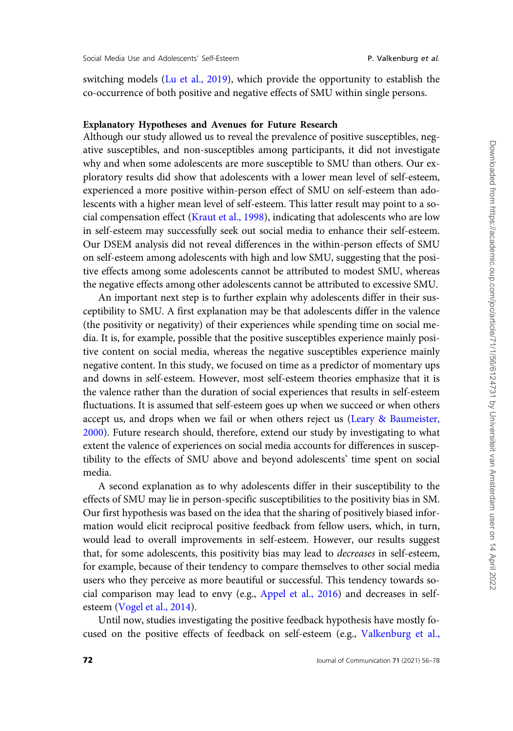switching models [\(Lu et al., 2019\)](#page-20-0), which provide the opportunity to establish the co-occurrence of both positive and negative effects of SMU within single persons.

#### Explanatory Hypotheses and Avenues for Future Research

Although our study allowed us to reveal the prevalence of positive susceptibles, negative susceptibles, and non-susceptibles among participants, it did not investigate why and when some adolescents are more susceptible to SMU than others. Our exploratory results did show that adolescents with a lower mean level of self-esteem, experienced a more positive within-person effect of SMU on self-esteem than adolescents with a higher mean level of self-esteem. This latter result may point to a social compensation effect ([Kraut et al., 1998\)](#page-20-0), indicating that adolescents who are low in self-esteem may successfully seek out social media to enhance their self-esteem. Our DSEM analysis did not reveal differences in the within-person effects of SMU on self-esteem among adolescents with high and low SMU, suggesting that the positive effects among some adolescents cannot be attributed to modest SMU, whereas the negative effects among other adolescents cannot be attributed to excessive SMU.

An important next step is to further explain why adolescents differ in their susceptibility to SMU. A first explanation may be that adolescents differ in the valence (the positivity or negativity) of their experiences while spending time on social media. It is, for example, possible that the positive susceptibles experience mainly positive content on social media, whereas the negative susceptibles experience mainly negative content. In this study, we focused on time as a predictor of momentary ups and downs in self-esteem. However, most self-esteem theories emphasize that it is the valence rather than the duration of social experiences that results in self-esteem fluctuations. It is assumed that self-esteem goes up when we succeed or when others accept us, and drops when we fail or when others reject us [\(Leary](#page-20-0) & [Baumeister,](#page-20-0) [2000\)](#page-20-0). Future research should, therefore, extend our study by investigating to what extent the valence of experiences on social media accounts for differences in susceptibility to the effects of SMU above and beyond adolescents' time spent on social media.

A second explanation as to why adolescents differ in their susceptibility to the effects of SMU may lie in person-specific susceptibilities to the positivity bias in SM. Our first hypothesis was based on the idea that the sharing of positively biased information would elicit reciprocal positive feedback from fellow users, which, in turn, would lead to overall improvements in self-esteem. However, our results suggest that, for some adolescents, this positivity bias may lead to decreases in self-esteem, for example, because of their tendency to compare themselves to other social media users who they perceive as more beautiful or successful. This tendency towards social comparison may lead to envy (e.g., [Appel et al., 2016\)](#page-19-0) and decreases in selfesteem [\(Vogel et al., 2014\)](#page-22-0).

Until now, studies investigating the positive feedback hypothesis have mostly focused on the positive effects of feedback on self-esteem (e.g., [Valkenburg et al.,](#page-21-0)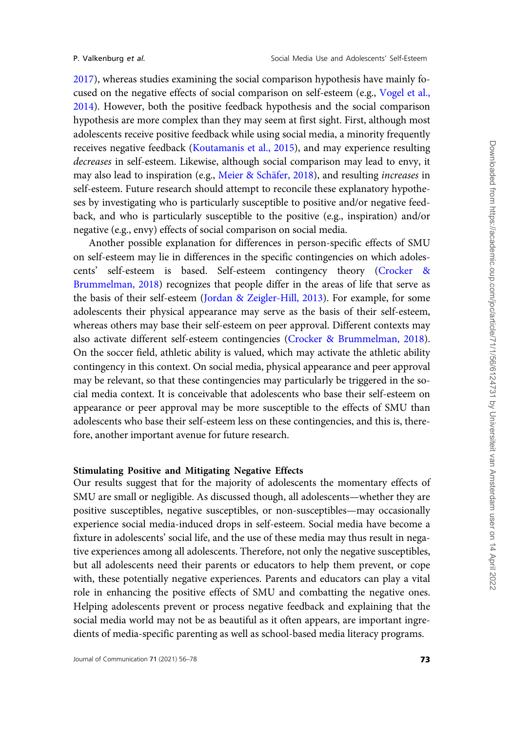[2017](#page-21-0)), whereas studies examining the social comparison hypothesis have mainly focused on the negative effects of social comparison on self-esteem (e.g., [Vogel et al.,](#page-22-0) [2014](#page-22-0)). However, both the positive feedback hypothesis and the social comparison hypothesis are more complex than they may seem at first sight. First, although most adolescents receive positive feedback while using social media, a minority frequently receives negative feedback ([Koutamanis et al., 2015\)](#page-20-0), and may experience resulting decreases in self-esteem. Likewise, although social comparison may lead to envy, it may also lead to inspiration (e.g., [Meier](#page-20-0) & Schäfer, 2018), and resulting *increases* in self-esteem. Future research should attempt to reconcile these explanatory hypotheses by investigating who is particularly susceptible to positive and/or negative feedback, and who is particularly susceptible to the positive (e.g., inspiration) and/or negative (e.g., envy) effects of social comparison on social media.

Another possible explanation for differences in person-specific effects of SMU on self-esteem may lie in differences in the specific contingencies on which adolescents' self-esteem is based. Self-esteem contingency theory [\(Crocker &](#page-19-0) [Brummelman, 2018](#page-19-0)) recognizes that people differ in the areas of life that serve as the basis of their self-esteem ([Jordan](#page-20-0) & [Zeigler-Hill, 2013\)](#page-20-0). For example, for some adolescents their physical appearance may serve as the basis of their self-esteem, whereas others may base their self-esteem on peer approval. Different contexts may also activate different self-esteem contingencies [\(Crocker](#page-19-0) & [Brummelman, 2018](#page-19-0)). On the soccer field, athletic ability is valued, which may activate the athletic ability contingency in this context. On social media, physical appearance and peer approval may be relevant, so that these contingencies may particularly be triggered in the social media context. It is conceivable that adolescents who base their self-esteem on appearance or peer approval may be more susceptible to the effects of SMU than adolescents who base their self-esteem less on these contingencies, and this is, therefore, another important avenue for future research.

# Stimulating Positive and Mitigating Negative Effects

Our results suggest that for the majority of adolescents the momentary effects of SMU are small or negligible. As discussed though, all adolescents—whether they are positive susceptibles, negative susceptibles, or non-susceptibles—may occasionally experience social media-induced drops in self-esteem. Social media have become a fixture in adolescents' social life, and the use of these media may thus result in negative experiences among all adolescents. Therefore, not only the negative susceptibles, but all adolescents need their parents or educators to help them prevent, or cope with, these potentially negative experiences. Parents and educators can play a vital role in enhancing the positive effects of SMU and combatting the negative ones. Helping adolescents prevent or process negative feedback and explaining that the social media world may not be as beautiful as it often appears, are important ingredients of media-specific parenting as well as school-based media literacy programs.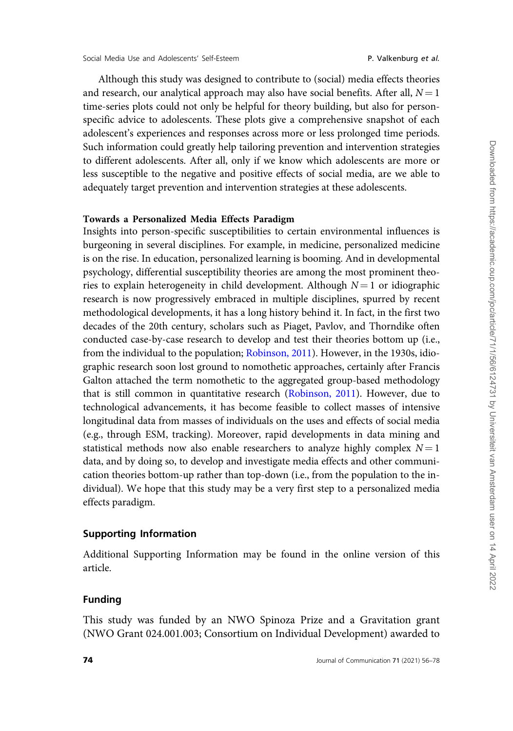Although this study was designed to contribute to (social) media effects theories and research, our analytical approach may also have social benefits. After all,  $N = 1$ time-series plots could not only be helpful for theory building, but also for personspecific advice to adolescents. These plots give a comprehensive snapshot of each adolescent's experiences and responses across more or less prolonged time periods. Such information could greatly help tailoring prevention and intervention strategies to different adolescents. After all, only if we know which adolescents are more or less susceptible to the negative and positive effects of social media, are we able to adequately target prevention and intervention strategies at these adolescents.

#### Towards a Personalized Media Effects Paradigm

Insights into person-specific susceptibilities to certain environmental influences is burgeoning in several disciplines. For example, in medicine, personalized medicine is on the rise. In education, personalized learning is booming. And in developmental psychology, differential susceptibility theories are among the most prominent theories to explain heterogeneity in child development. Although  $N = 1$  or idiographic research is now progressively embraced in multiple disciplines, spurred by recent methodological developments, it has a long history behind it. In fact, in the first two decades of the 20th century, scholars such as Piaget, Pavlov, and Thorndike often conducted case-by-case research to develop and test their theories bottom up (i.e., from the individual to the population; [Robinson, 2011\)](#page-21-0). However, in the 1930s, idiographic research soon lost ground to nomothetic approaches, certainly after Francis Galton attached the term nomothetic to the aggregated group-based methodology that is still common in quantitative research ([Robinson, 2011](#page-21-0)). However, due to technological advancements, it has become feasible to collect masses of intensive longitudinal data from masses of individuals on the uses and effects of social media (e.g., through ESM, tracking). Moreover, rapid developments in data mining and statistical methods now also enable researchers to analyze highly complex  $N = 1$ data, and by doing so, to develop and investigate media effects and other communication theories bottom-up rather than top-down (i.e., from the population to the individual). We hope that this study may be a very first step to a personalized media effects paradigm.

#### Supporting Information

Additional Supporting Information may be found in the online version of this article.

### Funding

This study was funded by an NWO Spinoza Prize and a Gravitation grant (NWO Grant 024.001.003; Consortium on Individual Development) awarded to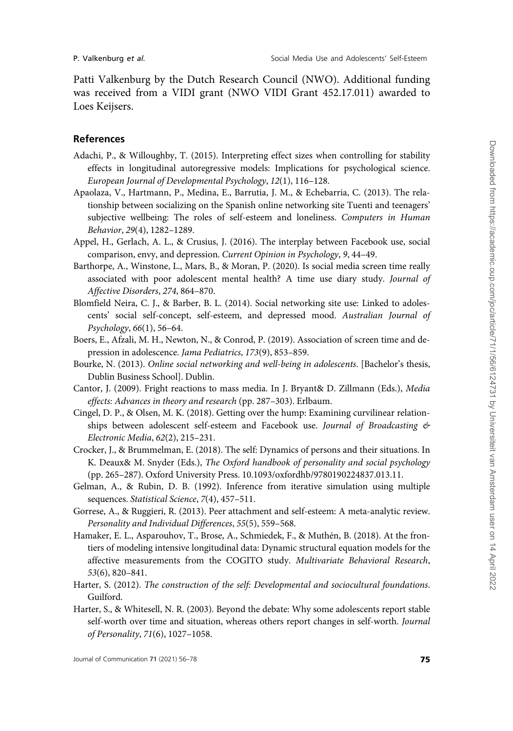<span id="page-19-0"></span>Patti Valkenburg by the Dutch Research Council (NWO). Additional funding was received from a VIDI grant (NWO VIDI Grant 452.17.011) awarded to Loes Keijsers.

### References

- Adachi, P., & Willoughby, T. (2015). Interpreting effect sizes when controlling for stability effects in longitudinal autoregressive models: Implications for psychological science. European Journal of Developmental Psychology, 12(1), 116–128.
- Apaolaza, V., Hartmann, P., Medina, E., Barrutia, J. M., & Echebarria, C. (2013). The relationship between socializing on the Spanish online networking site Tuenti and teenagers' subjective wellbeing: The roles of self-esteem and loneliness. Computers in Human Behavior, 29(4), 1282–1289.
- Appel, H., Gerlach, A. L., & Crusius, J. (2016). The interplay between Facebook use, social comparison, envy, and depression. Current Opinion in Psychology, 9, 44–49.
- Barthorpe, A., Winstone, L., Mars, B., & Moran, P. (2020). Is social media screen time really associated with poor adolescent mental health? A time use diary study. Journal of Affective Disorders, 274, 864–870.
- Blomfield Neira, C. J., & Barber, B. L. (2014). Social networking site use: Linked to adolescents' social self-concept, self-esteem, and depressed mood. Australian Journal of Psychology, 66(1), 56–64.
- Boers, E., Afzali, M. H., Newton, N., & Conrod, P. (2019). Association of screen time and depression in adolescence. Jama Pediatrics, 173(9), 853–859.
- Bourke, N. (2013). Online social networking and well-being in adolescents. [Bachelor's thesis, Dublin Business School]. Dublin.
- Cantor, J. (2009). Fright reactions to mass media. In J. Bryant& D. Zillmann (Eds.), Media effects: Advances in theory and research (pp. 287–303). Erlbaum.
- Cingel, D. P., & Olsen, M. K. (2018). Getting over the hump: Examining curvilinear relationships between adolescent self-esteem and Facebook use. Journal of Broadcasting & Electronic Media, 62(2), 215–231.
- Crocker, J., & Brummelman, E. (2018). The self: Dynamics of persons and their situations. In K. Deaux& M. Snyder (Eds.), The Oxford handbook of personality and social psychology (pp. 265–287). Oxford University Press. 10.1093/oxfordhb/9780190224837.013.11.
- Gelman, A., & Rubin, D. B. (1992). Inference from iterative simulation using multiple sequences. Statistical Science, 7(4), 457–511.
- Gorrese, A., & Ruggieri, R. (2013). Peer attachment and self-esteem: A meta-analytic review. Personality and Individual Differences, 55(5), 559–568.
- Hamaker, E. L., Asparouhov, T., Brose, A., Schmiedek, F., & Muthén, B. (2018). At the frontiers of modeling intensive longitudinal data: Dynamic structural equation models for the affective measurements from the COGITO study. Multivariate Behavioral Research, 53(6), 820–841.
- Harter, S. (2012). The construction of the self: Developmental and sociocultural foundations. Guilford.
- Harter, S., & Whitesell, N. R. (2003). Beyond the debate: Why some adolescents report stable self-worth over time and situation, whereas others report changes in self-worth. Journal of Personality, 71(6), 1027–1058.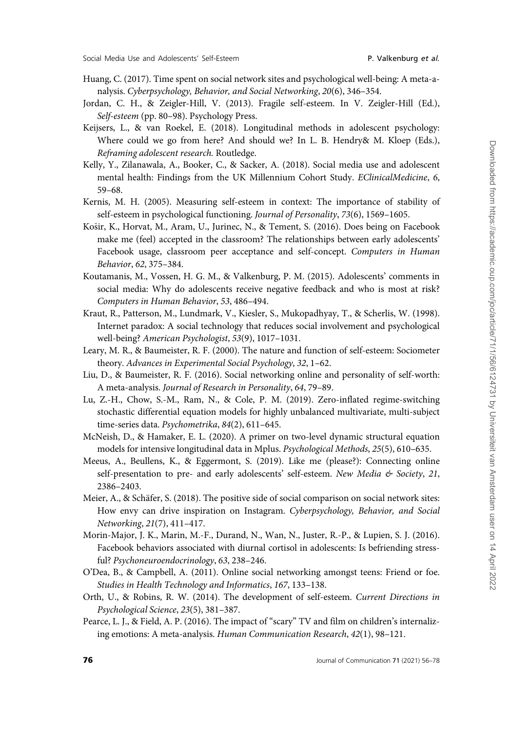- <span id="page-20-0"></span>Huang, C. (2017). Time spent on social network sites and psychological well-being: A meta-analysis. Cyberpsychology, Behavior, and Social Networking, 20(6), 346–354.
- Jordan, C. H., & Zeigler-Hill, V. (2013). Fragile self-esteem. In V. Zeigler-Hill (Ed.), Self-esteem (pp. 80–98). Psychology Press.
- Keijsers, L., & van Roekel, E. (2018). Longitudinal methods in adolescent psychology: Where could we go from here? And should we? In L. B. Hendry& M. Kloep (Eds.), Reframing adolescent research. Routledge.
- Kelly, Y., Zilanawala, A., Booker, C., & Sacker, A. (2018). Social media use and adolescent mental health: Findings from the UK Millennium Cohort Study. EClinicalMedicine, 6, 59–68.
- Kernis, M. H. (2005). Measuring self-esteem in context: The importance of stability of self-esteem in psychological functioning. Journal of Personality, 73(6), 1569–1605.
- Košir, K., Horvat, M., Aram, U., Jurinec, N., & Tement, S. (2016). Does being on Facebook make me (feel) accepted in the classroom? The relationships between early adolescents' Facebook usage, classroom peer acceptance and self-concept. Computers in Human Behavior, 62, 375–384.
- Koutamanis, M., Vossen, H. G. M., & Valkenburg, P. M. (2015). Adolescents' comments in social media: Why do adolescents receive negative feedback and who is most at risk? Computers in Human Behavior, 53, 486–494.
- Kraut, R., Patterson, M., Lundmark, V., Kiesler, S., Mukopadhyay, T., & Scherlis, W. (1998). Internet paradox: A social technology that reduces social involvement and psychological well-being? American Psychologist, 53(9), 1017–1031.
- Leary, M. R., & Baumeister, R. F. (2000). The nature and function of self-esteem: Sociometer theory. Advances in Experimental Social Psychology, 32, 1–62.
- Liu, D., & Baumeister, R. F. (2016). Social networking online and personality of self-worth: A meta-analysis. Journal of Research in Personality, 64, 79–89.
- Lu, Z.-H., Chow, S.-M., Ram, N., & Cole, P. M. (2019). Zero-inflated regime-switching stochastic differential equation models for highly unbalanced multivariate, multi-subject time-series data. Psychometrika, 84(2), 611-645.
- McNeish, D., & Hamaker, E. L. (2020). A primer on two-level dynamic structural equation models for intensive longitudinal data in Mplus. *Psychological Methods*, 25(5), 610–635.
- Meeus, A., Beullens, K., & Eggermont, S. (2019). Like me (please?): Connecting online self-presentation to pre- and early adolescents' self-esteem. New Media & Society, 21, 2386–2403.
- Meier, A., & Schäfer, S. (2018). The positive side of social comparison on social network sites: How envy can drive inspiration on Instagram. Cyberpsychology, Behavior, and Social Networking, 21(7), 411–417.
- Morin-Major, J. K., Marin, M.-F., Durand, N., Wan, N., Juster, R.-P., & Lupien, S. J. (2016). Facebook behaviors associated with diurnal cortisol in adolescents: Is befriending stressful? Psychoneuroendocrinology, 63, 238–246.
- O'Dea, B., & Campbell, A. (2011). Online social networking amongst teens: Friend or foe. Studies in Health Technology and Informatics, 167, 133–138.
- Orth, U., & Robins, R. W. (2014). The development of self-esteem. Current Directions in Psychological Science, 23(5), 381–387.
- Pearce, L. J., & Field, A. P. (2016). The impact of "scary" TV and film on children's internalizing emotions: A meta-analysis. Human Communication Research, 42(1), 98–121.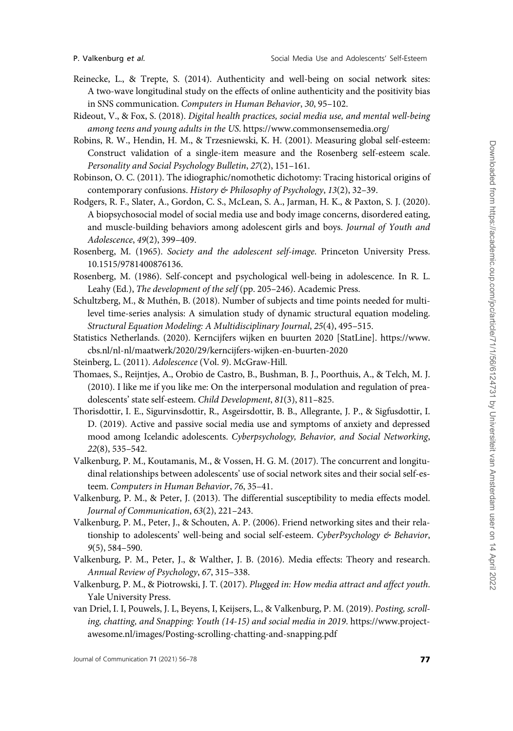- <span id="page-21-0"></span>Reinecke, L., & Trepte, S. (2014). Authenticity and well-being on social network sites: A two-wave longitudinal study on the effects of online authenticity and the positivity bias in SNS communication. Computers in Human Behavior, 30, 95–102.
- Rideout, V., & Fox, S. (2018). Digital health practices, social media use, and mental well-being among teens and young adults in the US.<https://www.commonsensemedia.org/>
- Robins, R. W., Hendin, H. M., & Trzesniewski, K. H. (2001). Measuring global self-esteem: Construct validation of a single-item measure and the Rosenberg self-esteem scale. Personality and Social Psychology Bulletin, 27(2), 151–161.
- Robinson, O. C. (2011). The idiographic/nomothetic dichotomy: Tracing historical origins of contemporary confusions. History & Philosophy of Psychology, 13(2), 32-39.
- Rodgers, R. F., Slater, A., Gordon, C. S., McLean, S. A., Jarman, H. K., & Paxton, S. J. (2020). A biopsychosocial model of social media use and body image concerns, disordered eating, and muscle-building behaviors among adolescent girls and boys. Journal of Youth and Adolescence, 49(2), 399–409.
- Rosenberg, M. (1965). Society and the adolescent self-image. Princeton University Press. 10.1515/9781400876136.
- Rosenberg, M. (1986). Self-concept and psychological well-being in adolescence. In R. L. Leahy (Ed.), The development of the self (pp. 205–246). Academic Press.
- Schultzberg, M., & Muthén, B. (2018). Number of subjects and time points needed for multilevel time-series analysis: A simulation study of dynamic structural equation modeling. Structural Equation Modeling: A Multidisciplinary Journal, 25(4), 495–515.
- Statistics Netherlands. (2020). Kerncijfers wijken en buurten 2020 [StatLine]. [https://www.](https://www.cbs.nl/nl-nl/maatwerk/2020/29/kerncijfers-wijken-en-buurten-2020) [cbs.nl/nl-nl/maatwerk/2020/29/kerncijfers-wijken-en-buurten-2020](https://www.cbs.nl/nl-nl/maatwerk/2020/29/kerncijfers-wijken-en-buurten-2020)
- Steinberg, L. (2011). Adolescence (Vol. 9). McGraw-Hill.
- Thomaes, S., Reijntjes, A., Orobio de Castro, B., Bushman, B. J., Poorthuis, A., & Telch, M. J. (2010). I like me if you like me: On the interpersonal modulation and regulation of preadolescents' state self-esteem. Child Development, 81(3), 811–825.
- Thorisdottir, I. E., Sigurvinsdottir, R., Asgeirsdottir, B. B., Allegrante, J. P., & Sigfusdottir, I. D. (2019). Active and passive social media use and symptoms of anxiety and depressed mood among Icelandic adolescents. Cyberpsychology, Behavior, and Social Networking, 22(8), 535–542.
- Valkenburg, P. M., Koutamanis, M., & Vossen, H. G. M. (2017). The concurrent and longitudinal relationships between adolescents' use of social network sites and their social self-esteem. Computers in Human Behavior, 76, 35–41.
- Valkenburg, P. M., & Peter, J. (2013). The differential susceptibility to media effects model. Journal of Communication, 63(2), 221–243.
- Valkenburg, P. M., Peter, J., & Schouten, A. P. (2006). Friend networking sites and their relationship to adolescents' well-being and social self-esteem. CyberPsychology & Behavior, 9(5), 584–590.
- Valkenburg, P. M., Peter, J., & Walther, J. B. (2016). Media effects: Theory and research. Annual Review of Psychology, 67, 315–338.
- Valkenburg, P. M., & Piotrowski, J. T. (2017). Plugged in: How media attract and affect youth. Yale University Press.
- van Driel, I. I, Pouwels, J. L, Beyens, I, Keijsers, L., & Valkenburg, P. M. (2019). Posting, scrolling, chatting, and Snapping: Youth (14-15) and social media in 2019. [https://www.project](https://www.project-awesome.nl/images/Posting-scrolling-chatting-and-snapping.pdf)[awesome.nl/images/Posting-scrolling-chatting-and-snapping.pdf](https://www.project-awesome.nl/images/Posting-scrolling-chatting-and-snapping.pdf)